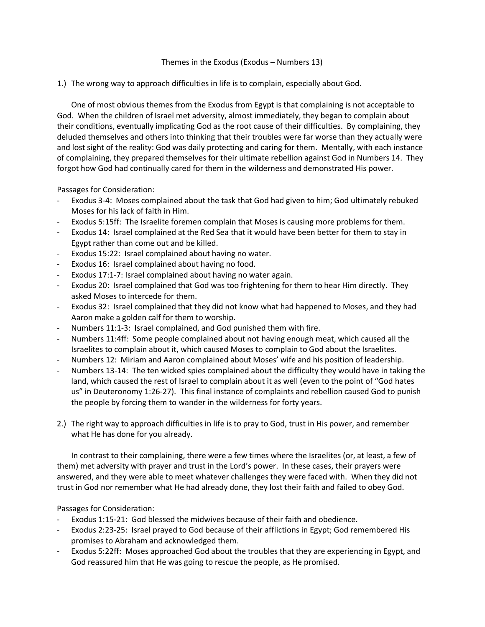## Themes in the Exodus (Exodus – Numbers 13)

1.) The wrong way to approach difficulties in life is to complain, especially about God.

One of most obvious themes from the Exodus from Egypt is that complaining is not acceptable to God. When the children of Israel met adversity, almost immediately, they began to complain about their conditions, eventually implicating God as the root cause of their difficulties. By complaining, they deluded themselves and others into thinking that their troubles were far worse than they actually were and lost sight of the reality: God was daily protecting and caring for them. Mentally, with each instance of complaining, they prepared themselves for their ultimate rebellion against God in Numbers 14. They forgot how God had continually cared for them in the wilderness and demonstrated His power.

Passages for Consideration:

- Exodus 3-4: Moses complained about the task that God had given to him; God ultimately rebuked Moses for his lack of faith in Him.
- Exodus 5:15ff: The Israelite foremen complain that Moses is causing more problems for them.
- Exodus 14: Israel complained at the Red Sea that it would have been better for them to stay in Egypt rather than come out and be killed.
- Exodus 15:22: Israel complained about having no water.
- Exodus 16: Israel complained about having no food.
- Exodus 17:1-7: Israel complained about having no water again.
- Exodus 20: Israel complained that God was too frightening for them to hear Him directly. They asked Moses to intercede for them.
- Exodus 32: Israel complained that they did not know what had happened to Moses, and they had Aaron make a golden calf for them to worship.
- Numbers 11:1-3: Israel complained, and God punished them with fire.
- Numbers 11:4ff: Some people complained about not having enough meat, which caused all the Israelites to complain about it, which caused Moses to complain to God about the Israelites.
- Numbers 12: Miriam and Aaron complained about Moses' wife and his position of leadership.
- Numbers 13-14: The ten wicked spies complained about the difficulty they would have in taking the land, which caused the rest of Israel to complain about it as well (even to the point of "God hates us" in Deuteronomy 1:26-27). This final instance of complaints and rebellion caused God to punish the people by forcing them to wander in the wilderness for forty years.
- 2.) The right way to approach difficulties in life is to pray to God, trust in His power, and remember what He has done for you already.

In contrast to their complaining, there were a few times where the Israelites (or, at least, a few of them) met adversity with prayer and trust in the Lord's power. In these cases, their prayers were answered, and they were able to meet whatever challenges they were faced with. When they did not trust in God nor remember what He had already done, they lost their faith and failed to obey God.

Passages for Consideration:

- Exodus 1:15-21: God blessed the midwives because of their faith and obedience.
- Exodus 2:23-25: Israel prayed to God because of their afflictions in Egypt; God remembered His promises to Abraham and acknowledged them.
- Exodus 5:22ff: Moses approached God about the troubles that they are experiencing in Egypt, and God reassured him that He was going to rescue the people, as He promised.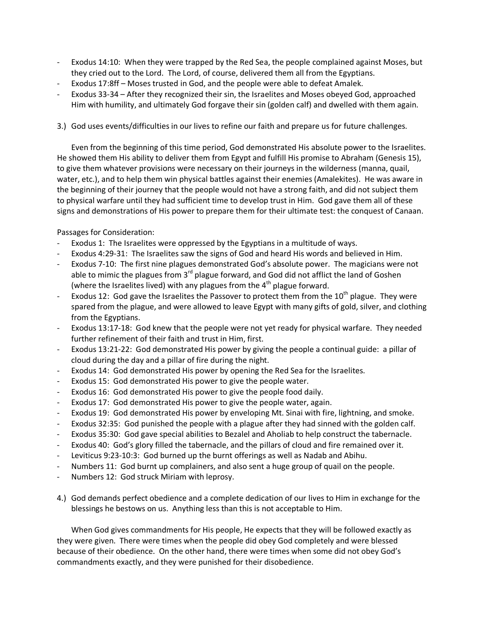- Exodus 14:10: When they were trapped by the Red Sea, the people complained against Moses, but they cried out to the Lord. The Lord, of course, delivered them all from the Egyptians.
- Exodus 17:8ff Moses trusted in God, and the people were able to defeat Amalek.
- Exodus 33-34 After they recognized their sin, the Israelites and Moses obeyed God, approached Him with humility, and ultimately God forgave their sin (golden calf) and dwelled with them again.
- 3.) God uses events/difficulties in our lives to refine our faith and prepare us for future challenges.

Even from the beginning of this time period, God demonstrated His absolute power to the Israelites. He showed them His ability to deliver them from Egypt and fulfill His promise to Abraham (Genesis 15), to give them whatever provisions were necessary on their journeys in the wilderness (manna, quail, water, etc.), and to help them win physical battles against their enemies (Amalekites). He was aware in the beginning of their journey that the people would not have a strong faith, and did not subject them to physical warfare until they had sufficient time to develop trust in Him. God gave them all of these signs and demonstrations of His power to prepare them for their ultimate test: the conquest of Canaan.

Passages for Consideration:

- Exodus 1: The Israelites were oppressed by the Egyptians in a multitude of ways.
- Exodus 4:29-31: The Israelites saw the signs of God and heard His words and believed in Him.
- Exodus 7-10: The first nine plagues demonstrated God's absolute power. The magicians were not able to mimic the plagues from  $3<sup>rd</sup>$  plague forward, and God did not afflict the land of Goshen (where the Israelites lived) with any plagues from the  $4<sup>th</sup>$  plague forward.
- Exodus 12: God gave the Israelites the Passover to protect them from the  $10^{th}$  plague. They were spared from the plague, and were allowed to leave Egypt with many gifts of gold, silver, and clothing from the Egyptians.
- Exodus 13:17-18: God knew that the people were not yet ready for physical warfare. They needed further refinement of their faith and trust in Him, first.
- Exodus 13:21-22: God demonstrated His power by giving the people a continual guide: a pillar of cloud during the day and a pillar of fire during the night.
- Exodus 14: God demonstrated His power by opening the Red Sea for the Israelites.
- Exodus 15: God demonstrated His power to give the people water.
- Exodus 16: God demonstrated His power to give the people food daily.
- Exodus 17: God demonstrated His power to give the people water, again.
- Exodus 19: God demonstrated His power by enveloping Mt. Sinai with fire, lightning, and smoke.
- Exodus 32:35: God punished the people with a plague after they had sinned with the golden calf.
- Exodus 35:30: God gave special abilities to Bezalel and Aholiab to help construct the tabernacle.
- Exodus 40: God's glory filled the tabernacle, and the pillars of cloud and fire remained over it.
- Leviticus 9:23-10:3: God burned up the burnt offerings as well as Nadab and Abihu.
- Numbers 11: God burnt up complainers, and also sent a huge group of quail on the people.
- Numbers 12: God struck Miriam with leprosy.
- 4.) God demands perfect obedience and a complete dedication of our lives to Him in exchange for the blessings he bestows on us. Anything less than this is not acceptable to Him.

When God gives commandments for His people, He expects that they will be followed exactly as they were given. There were times when the people did obey God completely and were blessed because of their obedience. On the other hand, there were times when some did not obey God's commandments exactly, and they were punished for their disobedience.